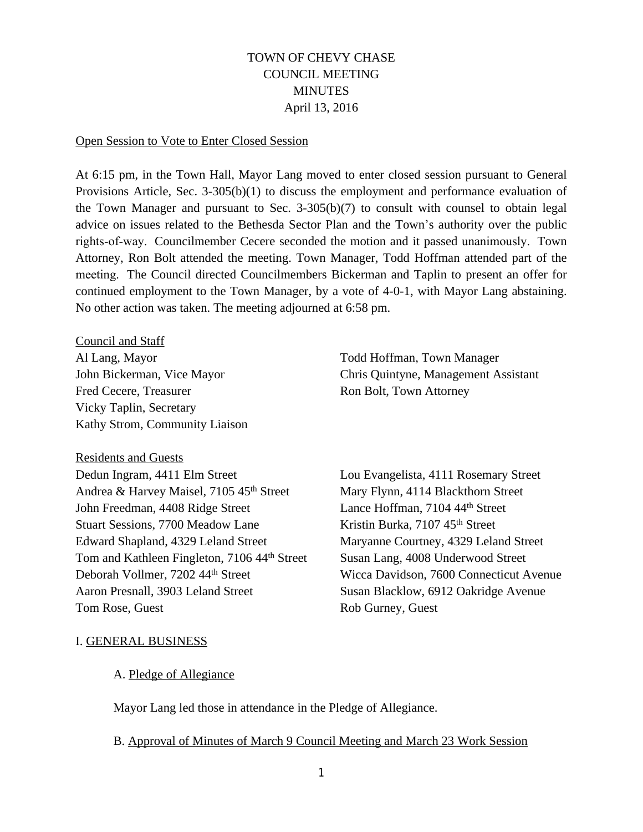# TOWN OF CHEVY CHASE COUNCIL MEETING **MINUTES** April 13, 2016

### Open Session to Vote to Enter Closed Session

At 6:15 pm, in the Town Hall, Mayor Lang moved to enter closed session pursuant to General Provisions Article, Sec. 3-305(b)(1) to discuss the employment and performance evaluation of the Town Manager and pursuant to Sec. 3-305(b)(7) to consult with counsel to obtain legal advice on issues related to the Bethesda Sector Plan and the Town's authority over the public rights-of-way. Councilmember Cecere seconded the motion and it passed unanimously. Town Attorney, Ron Bolt attended the meeting. Town Manager, Todd Hoffman attended part of the meeting. The Council directed Councilmembers Bickerman and Taplin to present an offer for continued employment to the Town Manager, by a vote of 4-0-1, with Mayor Lang abstaining. No other action was taken. The meeting adjourned at 6:58 pm.

Council and Staff Al Lang, Mayor Todd Hoffman, Town Manager Fred Cecere, Treasurer Ron Bolt, Town Attorney Vicky Taplin, Secretary Kathy Strom, Community Liaison

#### Residents and Guests

Dedun Ingram, 4411 Elm Street Lou Evangelista, 4111 Rosemary Street Andrea & Harvey Maisel, 7105 45<sup>th</sup> Street Mary Flynn, 4114 Blackthorn Street John Freedman, 4408 Ridge Street Lance Hoffman, 7104 44<sup>th</sup> Street Stuart Sessions, 7700 Meadow Lane Kristin Burka, 7107 45<sup>th</sup> Street Edward Shapland, 4329 Leland Street Maryanne Courtney, 4329 Leland Street Tom and Kathleen Fingleton, 7106 44<sup>th</sup> Street Susan Lang, 4008 Underwood Street Deborah Vollmer, 7202 44th Street Wicca Davidson, 7600 Connecticut Avenue Aaron Presnall, 3903 Leland Street Susan Blacklow, 6912 Oakridge Avenue Tom Rose, Guest **Rob Gurney**, Guest

John Bickerman, Vice Mayor Chris Quintyne, Management Assistant

#### I. GENERAL BUSINESS

#### A. Pledge of Allegiance

Mayor Lang led those in attendance in the Pledge of Allegiance.

#### B. Approval of Minutes of March 9 Council Meeting and March 23 Work Session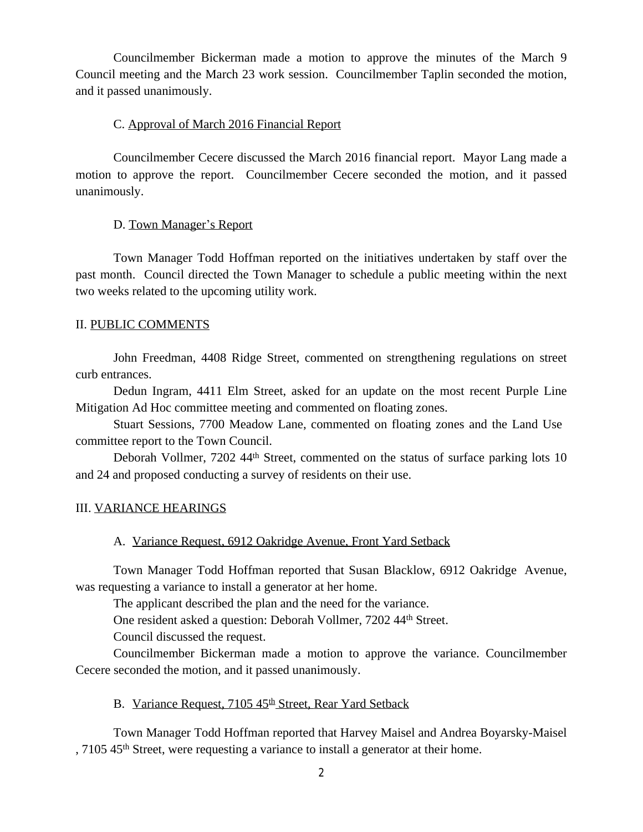Councilmember Bickerman made a motion to approve the minutes of the March 9 Council meeting and the March 23 work session. Councilmember Taplin seconded the motion, and it passed unanimously.

## C. Approval of March 2016 Financial Report

Councilmember Cecere discussed the March 2016 financial report. Mayor Lang made a motion to approve the report. Councilmember Cecere seconded the motion, and it passed unanimously.

## D. Town Manager's Report

Town Manager Todd Hoffman reported on the initiatives undertaken by staff over the past month. Council directed the Town Manager to schedule a public meeting within the next two weeks related to the upcoming utility work.

## II. PUBLIC COMMENTS

John Freedman, 4408 Ridge Street, commented on strengthening regulations on street curb entrances.

Dedun Ingram, 4411 Elm Street, asked for an update on the most recent Purple Line Mitigation Ad Hoc committee meeting and commented on floating zones.

Stuart Sessions, 7700 Meadow Lane, commented on floating zones and the Land Use committee report to the Town Council.

Deborah Vollmer, 7202 44<sup>th</sup> Street, commented on the status of surface parking lots 10 and 24 and proposed conducting a survey of residents on their use.

### III. VARIANCE HEARINGS

# A. Variance Request, 6912 Oakridge Avenue, Front Yard Setback

Town Manager Todd Hoffman reported that Susan Blacklow, 6912 Oakridge Avenue, was requesting a variance to install a generator at her home.

The applicant described the plan and the need for the variance.

One resident asked a question: Deborah Vollmer, 7202 44th Street.

Council discussed the request.

Councilmember Bickerman made a motion to approve the variance. Councilmember Cecere seconded the motion, and it passed unanimously.

B. Variance Request, 7105 45<sup>th</sup> Street, Rear Yard Setback

Town Manager Todd Hoffman reported that Harvey Maisel and Andrea Boyarsky-Maisel , 7105 45th Street, were requesting a variance to install a generator at their home.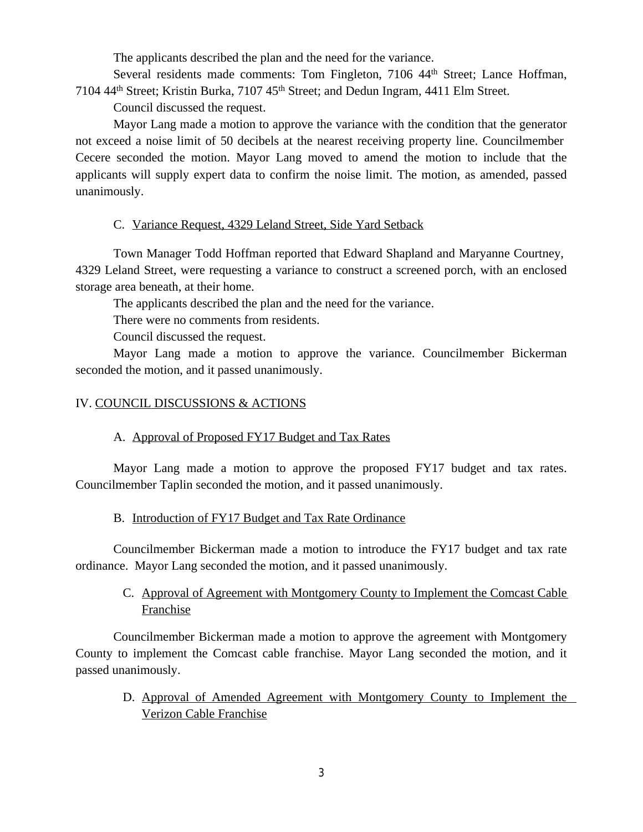The applicants described the plan and the need for the variance.

Several residents made comments: Tom Fingleton, 7106 44<sup>th</sup> Street; Lance Hoffman, 7104 44th Street; Kristin Burka, 7107 45th Street; and Dedun Ingram, 4411 Elm Street.

Council discussed the request.

Mayor Lang made a motion to approve the variance with the condition that the generator not exceed a noise limit of 50 decibels at the nearest receiving property line. Councilmember Cecere seconded the motion. Mayor Lang moved to amend the motion to include that the applicants will supply expert data to confirm the noise limit. The motion, as amended, passed unanimously.

### C. Variance Request, 4329 Leland Street, Side Yard Setback

Town Manager Todd Hoffman reported that Edward Shapland and Maryanne Courtney, 4329 Leland Street, were requesting a variance to construct a screened porch, with an enclosed storage area beneath, at their home.

The applicants described the plan and the need for the variance.

There were no comments from residents.

Council discussed the request.

Mayor Lang made a motion to approve the variance. Councilmember Bickerman seconded the motion, and it passed unanimously.

## IV. COUNCIL DISCUSSIONS & ACTIONS

# A. Approval of Proposed FY17 Budget and Tax Rates

Mayor Lang made a motion to approve the proposed FY17 budget and tax rates. Councilmember Taplin seconded the motion, and it passed unanimously.

### B. Introduction of FY17 Budget and Tax Rate Ordinance

Councilmember Bickerman made a motion to introduce the FY17 budget and tax rate ordinance. Mayor Lang seconded the motion, and it passed unanimously.

# C. Approval of Agreement with Montgomery County to Implement the Comcast Cable Franchise

Councilmember Bickerman made a motion to approve the agreement with Montgomery County to implement the Comcast cable franchise. Mayor Lang seconded the motion, and it passed unanimously.

D. Approval of Amended Agreement with Montgomery County to Implement the Verizon Cable Franchise